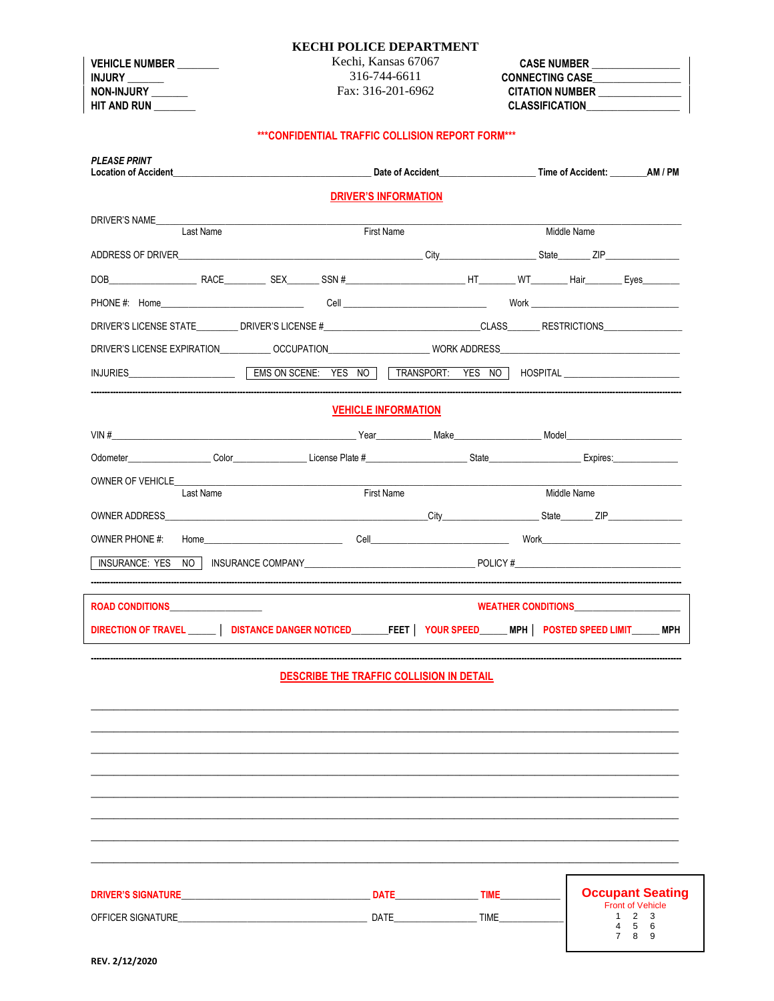#### **KECHI POLICE DEPARTMENT**

**VEHICLE NUMBER INJURY** NON-INJURY HIT AND RUN

Kechi, Kansas 67067 316-744-6611 Fax: 316-201-6962

**CASE NUMBER** CONNECTING CASE CITATION NUMBER **CLASSIFICATION** 

## \*\*\* CONFIDENTIAL TRAFFIC COLLISION REPORT FORM\*\*\*

| <b>PLEASE PRINT</b>               |  | Location of Accident AM / PM Case of Accident Case of Accident Case of Accident Case of Accident Case of Accident |                                                                                                                                                                                                                                      |
|-----------------------------------|--|-------------------------------------------------------------------------------------------------------------------|--------------------------------------------------------------------------------------------------------------------------------------------------------------------------------------------------------------------------------------|
|                                   |  | <b>DRIVER'S INFORMATION</b>                                                                                       |                                                                                                                                                                                                                                      |
| DRIVER'S NAME<br>Last Name        |  | <b>First Name</b>                                                                                                 | Middle Name                                                                                                                                                                                                                          |
|                                   |  |                                                                                                                   |                                                                                                                                                                                                                                      |
|                                   |  |                                                                                                                   |                                                                                                                                                                                                                                      |
|                                   |  |                                                                                                                   |                                                                                                                                                                                                                                      |
|                                   |  |                                                                                                                   | DRIVER'S LICENSE STATE _________DRIVER'S LICENSE #_______________________________CLASS_______RESTRICTIONS_____                                                                                                                       |
|                                   |  |                                                                                                                   | DRIVER'S LICENSE EXPIRATION___________OCCUPATION____________________WORK ADDRESS____________________                                                                                                                                 |
|                                   |  |                                                                                                                   | INJURIES <b>EXAMPLE EXAMPLE EXAMPLE EXAMPLE EXAMPLE EXAMPLE EXAMPLE EXAMPLE EXAMPLE EXAMPLE EXAMPLE EXAMPLE EXAMPLE EXAMPLE EXAMPLE EXAMPLE EXAMPLE EXAMPLE EXAMPLE EXAMPLE EXAMPLE EXAMPLE EXAMPLE EXAMPLE EXAMPLE EXAMPLE EXAM</b> |
|                                   |  | <b>VEHICLE INFORMATION</b>                                                                                        |                                                                                                                                                                                                                                      |
|                                   |  |                                                                                                                   |                                                                                                                                                                                                                                      |
|                                   |  |                                                                                                                   | Odometer Color Color Color Color Color Color Color Color Color Color Color Color Color Color Color Color Color                                                                                                                       |
| OWNER OF VEHICLE                  |  |                                                                                                                   |                                                                                                                                                                                                                                      |
| Last Name                         |  | First Name                                                                                                        | Middle Name                                                                                                                                                                                                                          |
|                                   |  |                                                                                                                   |                                                                                                                                                                                                                                      |
| OWNER PHONE #:                    |  |                                                                                                                   |                                                                                                                                                                                                                                      |
| INSURANCE: YES                    |  |                                                                                                                   | NO NO INSURANCE COMPANY NO RELATION CONTRACT POLICY #                                                                                                                                                                                |
| ROAD CONDITIONS__________________ |  |                                                                                                                   | WEATHER CONDITIONS <b>EXAMPLE AND THE SET OF STATE</b>                                                                                                                                                                               |
|                                   |  |                                                                                                                   | DIRECTION OF TRAVEL ______   DISTANCE DANGER NOTICED________FEET   YOUR SPEED______MPH   POSTED SPEED LIMIT_____MPH                                                                                                                  |
|                                   |  |                                                                                                                   |                                                                                                                                                                                                                                      |
|                                   |  | DESCRIBE THE TRAFFIC COLLISION IN DETAIL                                                                          |                                                                                                                                                                                                                                      |
|                                   |  |                                                                                                                   |                                                                                                                                                                                                                                      |
|                                   |  |                                                                                                                   |                                                                                                                                                                                                                                      |
|                                   |  |                                                                                                                   |                                                                                                                                                                                                                                      |
|                                   |  |                                                                                                                   |                                                                                                                                                                                                                                      |
|                                   |  |                                                                                                                   |                                                                                                                                                                                                                                      |
|                                   |  |                                                                                                                   |                                                                                                                                                                                                                                      |
|                                   |  |                                                                                                                   |                                                                                                                                                                                                                                      |
|                                   |  |                                                                                                                   |                                                                                                                                                                                                                                      |
|                                   |  |                                                                                                                   |                                                                                                                                                                                                                                      |

| <b>DRIVER'S SIGNATURE</b> | <b>DATE</b> | TIME | <b>Occupant Seating</b><br><b>Front of Vehicle</b> |
|---------------------------|-------------|------|----------------------------------------------------|
| OFFICER SIGNATURE         | DATE        | TIME | - 5<br>6                                           |
|                           |             |      |                                                    |